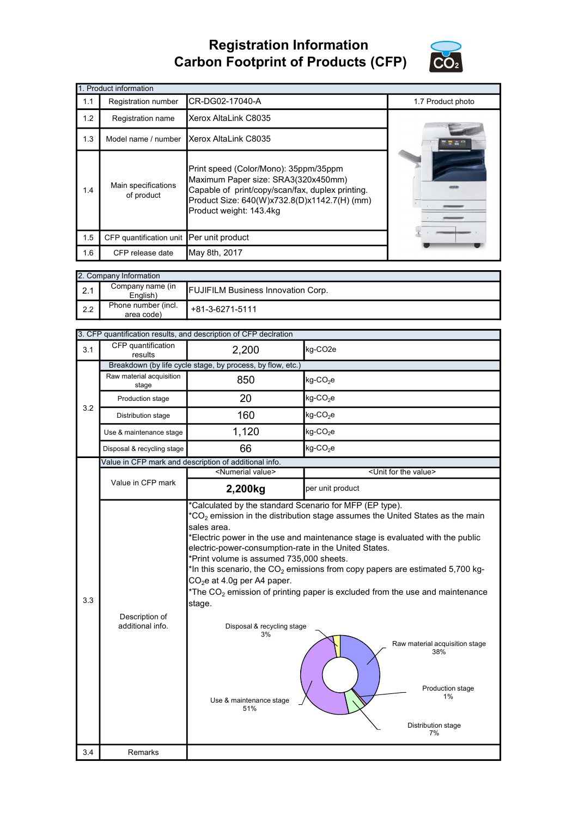## Registration Information Carbon Footprint of Products (CFP)



|     | 1. Product information                   |                                                                                                                                                                                                             |                   |  |  |  |
|-----|------------------------------------------|-------------------------------------------------------------------------------------------------------------------------------------------------------------------------------------------------------------|-------------------|--|--|--|
| 1.1 | Registration number                      | CR-DG02-17040-A                                                                                                                                                                                             | 1.7 Product photo |  |  |  |
| 1.2 | Registration name                        | Xerox AltaLink C8035                                                                                                                                                                                        |                   |  |  |  |
| 1.3 | Model name / number                      | Xerox AltaLink C8035                                                                                                                                                                                        |                   |  |  |  |
| 1.4 | Main specifications<br>of product        | Print speed (Color/Mono): 35ppm/35ppm<br>Maximum Paper size: SRA3(320x450mm)<br>Capable of print/copy/scan/fax, duplex printing.<br>Product Size: 640(W)x732.8(D)x1142.7(H) (mm)<br>Product weight: 143.4kg |                   |  |  |  |
| 1.5 | CFP quantification unit Per unit product |                                                                                                                                                                                                             |                   |  |  |  |
| 1.6 | CFP release date                         | May 8th, 2017                                                                                                                                                                                               |                   |  |  |  |

| 2. Company Information |                                   |                                           |  |  |
|------------------------|-----------------------------------|-------------------------------------------|--|--|
| $\vert$ 2.1            | Company name (in<br>English)      | <b>FUJIFILM Business Innovation Corp.</b> |  |  |
| $\mathsf{I}$ 2.2       | Phone number (incl.<br>area code) | +81-3-6271-5111                           |  |  |

|     |                                                       | 3. CFP quantification results, and description of CFP declration                                                                                                                                                                 |                                                                                                                                                                                                                                                                                                                                                                                                                                                     |  |  |
|-----|-------------------------------------------------------|----------------------------------------------------------------------------------------------------------------------------------------------------------------------------------------------------------------------------------|-----------------------------------------------------------------------------------------------------------------------------------------------------------------------------------------------------------------------------------------------------------------------------------------------------------------------------------------------------------------------------------------------------------------------------------------------------|--|--|
| 3.1 | CFP quantification<br>results                         | 2,200                                                                                                                                                                                                                            | kg-CO <sub>2e</sub>                                                                                                                                                                                                                                                                                                                                                                                                                                 |  |  |
|     |                                                       | Breakdown (by life cycle stage, by process, by flow, etc.)                                                                                                                                                                       |                                                                                                                                                                                                                                                                                                                                                                                                                                                     |  |  |
|     | Raw material acquisition<br>stage                     | 850                                                                                                                                                                                                                              | $kg$ -CO <sub>2</sub> e                                                                                                                                                                                                                                                                                                                                                                                                                             |  |  |
| 3.2 | Production stage                                      | 20                                                                                                                                                                                                                               | kg-CO <sub>2</sub> e                                                                                                                                                                                                                                                                                                                                                                                                                                |  |  |
|     | Distribution stage                                    | 160                                                                                                                                                                                                                              | $kg$ -CO <sub>2</sub> e                                                                                                                                                                                                                                                                                                                                                                                                                             |  |  |
|     | Use & maintenance stage                               | 1,120                                                                                                                                                                                                                            | kg-CO <sub>2</sub> e                                                                                                                                                                                                                                                                                                                                                                                                                                |  |  |
|     | Disposal & recycling stage                            | 66                                                                                                                                                                                                                               | $kg$ -CO <sub>2</sub> e                                                                                                                                                                                                                                                                                                                                                                                                                             |  |  |
|     | Value in CFP mark and description of additional info. |                                                                                                                                                                                                                                  |                                                                                                                                                                                                                                                                                                                                                                                                                                                     |  |  |
|     |                                                       | <numerial value=""></numerial>                                                                                                                                                                                                   | <unit for="" the="" value=""></unit>                                                                                                                                                                                                                                                                                                                                                                                                                |  |  |
|     | Value in CFP mark                                     | 2,200kg                                                                                                                                                                                                                          | per unit product                                                                                                                                                                                                                                                                                                                                                                                                                                    |  |  |
| 3.3 | Description of<br>additional info.                    | sales area.<br>electric-power-consumption-rate in the United States.<br>*Print volume is assumed 735,000 sheets.<br>$CO2e$ at 4.0g per A4 paper.<br>stage.<br>Disposal & recycling stage<br>3%<br>Use & maintenance stage<br>51% | $^*CO_2$ emission in the distribution stage assumes the United States as the main<br>*Electric power in the use and maintenance stage is evaluated with the public<br>*In this scenario, the $CO2$ emissions from copy papers are estimated 5,700 kg-<br>$*$ The CO <sub>2</sub> emission of printing paper is excluded from the use and maintenance<br>Raw material acquisition stage<br>38%<br>Production stage<br>1%<br>Distribution stage<br>7% |  |  |
| 3.4 | Remarks                                               |                                                                                                                                                                                                                                  |                                                                                                                                                                                                                                                                                                                                                                                                                                                     |  |  |